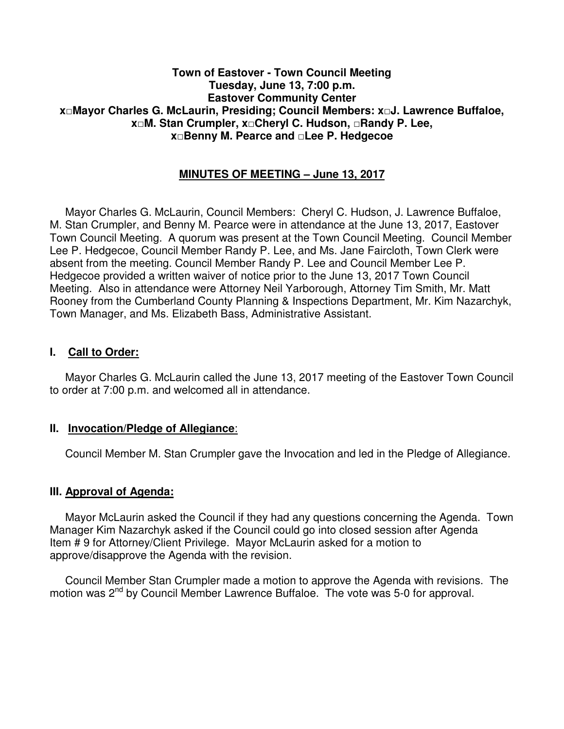#### **Town of Eastover - Town Council Meeting Tuesday, June 13, 7:00 p.m. Eastover Community Center x□Mayor Charles G. McLaurin, Presiding; Council Members: x□J. Lawrence Buffaloe, x□M. Stan Crumpler, x□Cheryl C. Hudson, □Randy P. Lee, x□Benny M. Pearce and □Lee P. Hedgecoe**

### **MINUTES OF MEETING – June 13, 2017**

 Mayor Charles G. McLaurin, Council Members: Cheryl C. Hudson, J. Lawrence Buffaloe, M. Stan Crumpler, and Benny M. Pearce were in attendance at the June 13, 2017, Eastover Town Council Meeting. A quorum was present at the Town Council Meeting. Council Member Lee P. Hedgecoe, Council Member Randy P. Lee, and Ms. Jane Faircloth, Town Clerk were absent from the meeting. Council Member Randy P. Lee and Council Member Lee P. Hedgecoe provided a written waiver of notice prior to the June 13, 2017 Town Council Meeting. Also in attendance were Attorney Neil Yarborough, Attorney Tim Smith, Mr. Matt Rooney from the Cumberland County Planning & Inspections Department, Mr. Kim Nazarchyk, Town Manager, and Ms. Elizabeth Bass, Administrative Assistant.

#### **I. Call to Order:**

 Mayor Charles G. McLaurin called the June 13, 2017 meeting of the Eastover Town Council to order at 7:00 p.m. and welcomed all in attendance.

#### **II. Invocation/Pledge of Allegiance**:

Council Member M. Stan Crumpler gave the Invocation and led in the Pledge of Allegiance.

#### **III. Approval of Agenda:**

 Mayor McLaurin asked the Council if they had any questions concerning the Agenda. Town Manager Kim Nazarchyk asked if the Council could go into closed session after Agenda Item # 9 for Attorney/Client Privilege. Mayor McLaurin asked for a motion to approve/disapprove the Agenda with the revision.

 Council Member Stan Crumpler made a motion to approve the Agenda with revisions. The motion was 2<sup>nd</sup> by Council Member Lawrence Buffaloe. The vote was 5-0 for approval.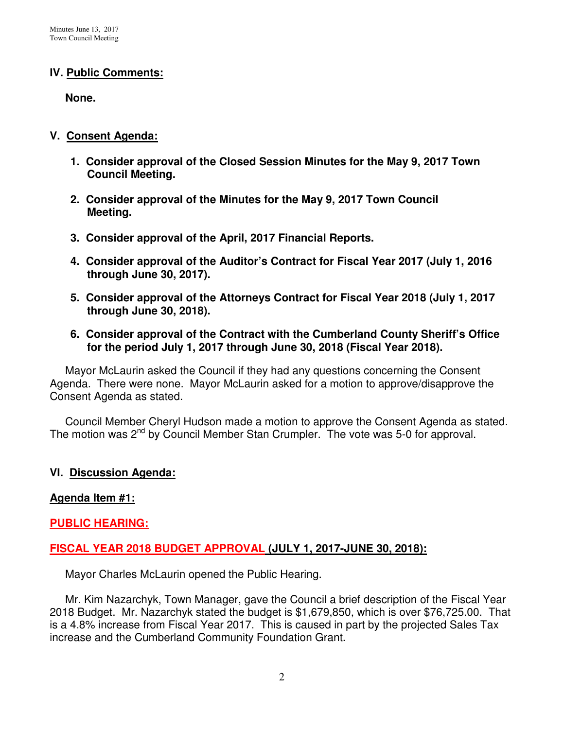### **IV. Public Comments:**

 **None.** 

### **V. Consent Agenda:**

- **1. Consider approval of the Closed Session Minutes for the May 9, 2017 Town Council Meeting.**
- **2. Consider approval of the Minutes for the May 9, 2017 Town Council Meeting.**
- **3. Consider approval of the April, 2017 Financial Reports.**
- **4. Consider approval of the Auditor's Contract for Fiscal Year 2017 (July 1, 2016 through June 30, 2017).**
- **5. Consider approval of the Attorneys Contract for Fiscal Year 2018 (July 1, 2017 through June 30, 2018).**
- **6. Consider approval of the Contract with the Cumberland County Sheriff's Office for the period July 1, 2017 through June 30, 2018 (Fiscal Year 2018).**

 Mayor McLaurin asked the Council if they had any questions concerning the Consent Agenda. There were none. Mayor McLaurin asked for a motion to approve/disapprove the Consent Agenda as stated.

 Council Member Cheryl Hudson made a motion to approve the Consent Agenda as stated. The motion was 2<sup>nd</sup> by Council Member Stan Crumpler. The vote was 5-0 for approval.

## **VI. Discussion Agenda:**

## **Agenda Item #1:**

## **PUBLIC HEARING:**

## **FISCAL YEAR 2018 BUDGET APPROVAL (JULY 1, 2017-JUNE 30, 2018):**

Mayor Charles McLaurin opened the Public Hearing.

 Mr. Kim Nazarchyk, Town Manager, gave the Council a brief description of the Fiscal Year 2018 Budget. Mr. Nazarchyk stated the budget is \$1,679,850, which is over \$76,725.00. That is a 4.8% increase from Fiscal Year 2017. This is caused in part by the projected Sales Tax increase and the Cumberland Community Foundation Grant.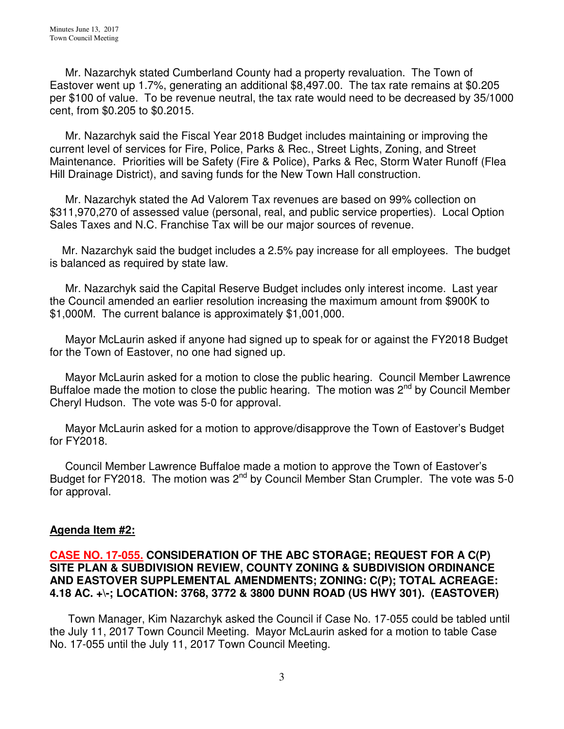Mr. Nazarchyk stated Cumberland County had a property revaluation. The Town of Eastover went up 1.7%, generating an additional \$8,497.00. The tax rate remains at \$0.205 per \$100 of value. To be revenue neutral, the tax rate would need to be decreased by 35/1000 cent, from \$0.205 to \$0.2015.

 Mr. Nazarchyk said the Fiscal Year 2018 Budget includes maintaining or improving the current level of services for Fire, Police, Parks & Rec., Street Lights, Zoning, and Street Maintenance. Priorities will be Safety (Fire & Police), Parks & Rec, Storm Water Runoff (Flea Hill Drainage District), and saving funds for the New Town Hall construction.

 Mr. Nazarchyk stated the Ad Valorem Tax revenues are based on 99% collection on \$311,970,270 of assessed value (personal, real, and public service properties). Local Option Sales Taxes and N.C. Franchise Tax will be our major sources of revenue.

 Mr. Nazarchyk said the budget includes a 2.5% pay increase for all employees. The budget is balanced as required by state law.

Mr. Nazarchyk said the Capital Reserve Budget includes only interest income. Last year the Council amended an earlier resolution increasing the maximum amount from \$900K to \$1,000M. The current balance is approximately \$1,001,000.

 Mayor McLaurin asked if anyone had signed up to speak for or against the FY2018 Budget for the Town of Eastover, no one had signed up.

 Mayor McLaurin asked for a motion to close the public hearing. Council Member Lawrence Buffaloe made the motion to close the public hearing. The motion was  $2^{nd}$  by Council Member Cheryl Hudson. The vote was 5-0 for approval.

 Mayor McLaurin asked for a motion to approve/disapprove the Town of Eastover's Budget for FY2018.

 Council Member Lawrence Buffaloe made a motion to approve the Town of Eastover's Budget for FY2018. The motion was 2<sup>nd</sup> by Council Member Stan Crumpler. The vote was 5-0 for approval.

## **Agenda Item #2:**

#### **CASE NO. 17-055. CONSIDERATION OF THE ABC STORAGE; REQUEST FOR A C(P) SITE PLAN & SUBDIVISION REVIEW, COUNTY ZONING & SUBDIVISION ORDINANCE AND EASTOVER SUPPLEMENTAL AMENDMENTS; ZONING: C(P); TOTAL ACREAGE: 4.18 AC. +\-; LOCATION: 3768, 3772 & 3800 DUNN ROAD (US HWY 301). (EASTOVER)**

 Town Manager, Kim Nazarchyk asked the Council if Case No. 17-055 could be tabled until the July 11, 2017 Town Council Meeting. Mayor McLaurin asked for a motion to table Case No. 17-055 until the July 11, 2017 Town Council Meeting.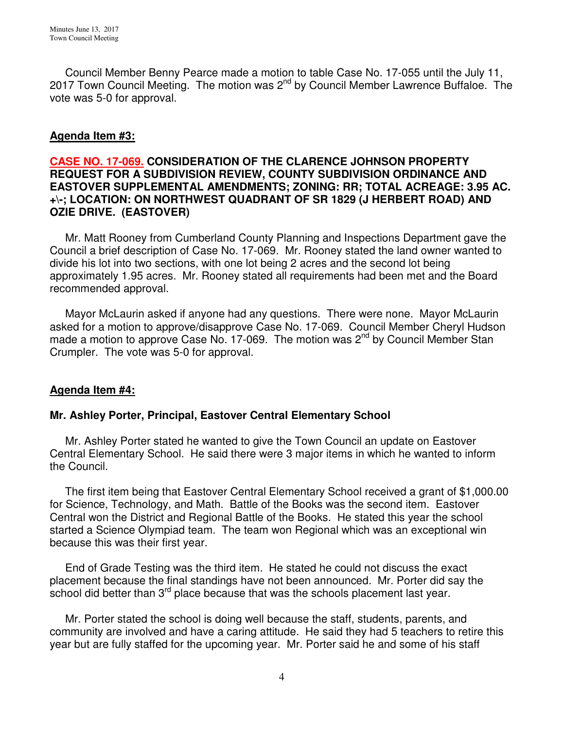Council Member Benny Pearce made a motion to table Case No. 17-055 until the July 11, 2017 Town Council Meeting. The motion was 2<sup>nd</sup> by Council Member Lawrence Buffaloe. The vote was 5-0 for approval.

# **Agenda Item #3:**

#### **CASE NO. 17-069. CONSIDERATION OF THE CLARENCE JOHNSON PROPERTY REQUEST FOR A SUBDIVISION REVIEW, COUNTY SUBDIVISION ORDINANCE AND EASTOVER SUPPLEMENTAL AMENDMENTS; ZONING: RR; TOTAL ACREAGE: 3.95 AC. +\-; LOCATION: ON NORTHWEST QUADRANT OF SR 1829 (J HERBERT ROAD) AND OZIE DRIVE. (EASTOVER)**

Mr. Matt Rooney from Cumberland County Planning and Inspections Department gave the Council a brief description of Case No. 17-069. Mr. Rooney stated the land owner wanted to divide his lot into two sections, with one lot being 2 acres and the second lot being approximately 1.95 acres. Mr. Rooney stated all requirements had been met and the Board recommended approval.

 Mayor McLaurin asked if anyone had any questions. There were none. Mayor McLaurin asked for a motion to approve/disapprove Case No. 17-069. Council Member Cheryl Hudson made a motion to approve Case No. 17-069. The motion was 2<sup>nd</sup> by Council Member Stan Crumpler. The vote was 5-0 for approval.

## **Agenda Item #4:**

## **Mr. Ashley Porter, Principal, Eastover Central Elementary School**

 Mr. Ashley Porter stated he wanted to give the Town Council an update on Eastover Central Elementary School. He said there were 3 major items in which he wanted to inform the Council.

 The first item being that Eastover Central Elementary School received a grant of \$1,000.00 for Science, Technology, and Math. Battle of the Books was the second item. Eastover Central won the District and Regional Battle of the Books. He stated this year the school started a Science Olympiad team. The team won Regional which was an exceptional win because this was their first year.

 End of Grade Testing was the third item. He stated he could not discuss the exact placement because the final standings have not been announced. Mr. Porter did say the school did better than 3<sup>rd</sup> place because that was the schools placement last year.

 Mr. Porter stated the school is doing well because the staff, students, parents, and community are involved and have a caring attitude. He said they had 5 teachers to retire this year but are fully staffed for the upcoming year. Mr. Porter said he and some of his staff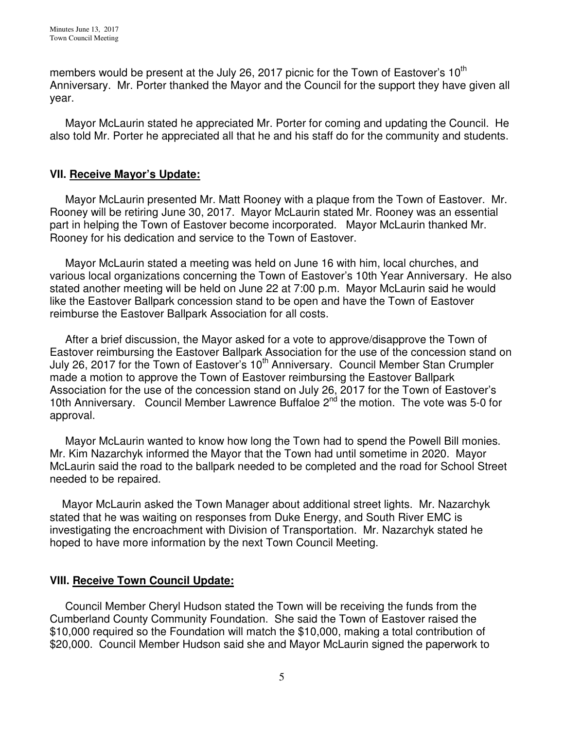members would be present at the July 26, 2017 picnic for the Town of Eastover's  $10<sup>th</sup>$ Anniversary. Mr. Porter thanked the Mayor and the Council for the support they have given all year.

 Mayor McLaurin stated he appreciated Mr. Porter for coming and updating the Council. He also told Mr. Porter he appreciated all that he and his staff do for the community and students.

### **VII. Receive Mayor's Update:**

 Mayor McLaurin presented Mr. Matt Rooney with a plaque from the Town of Eastover. Mr. Rooney will be retiring June 30, 2017. Mayor McLaurin stated Mr. Rooney was an essential part in helping the Town of Eastover become incorporated. Mayor McLaurin thanked Mr. Rooney for his dedication and service to the Town of Eastover.

 Mayor McLaurin stated a meeting was held on June 16 with him, local churches, and various local organizations concerning the Town of Eastover's 10th Year Anniversary. He also stated another meeting will be held on June 22 at 7:00 p.m. Mayor McLaurin said he would like the Eastover Ballpark concession stand to be open and have the Town of Eastover reimburse the Eastover Ballpark Association for all costs.

 After a brief discussion, the Mayor asked for a vote to approve/disapprove the Town of Eastover reimbursing the Eastover Ballpark Association for the use of the concession stand on July 26, 2017 for the Town of Eastover's 10<sup>th</sup> Anniversary. Council Member Stan Crumpler made a motion to approve the Town of Eastover reimbursing the Eastover Ballpark Association for the use of the concession stand on July 26, 2017 for the Town of Eastover's 10th Anniversary. Council Member Lawrence Buffaloe  $2<sup>nd</sup>$  the motion. The vote was 5-0 for approval.

 Mayor McLaurin wanted to know how long the Town had to spend the Powell Bill monies. Mr. Kim Nazarchyk informed the Mayor that the Town had until sometime in 2020. Mayor McLaurin said the road to the ballpark needed to be completed and the road for School Street needed to be repaired.

 Mayor McLaurin asked the Town Manager about additional street lights. Mr. Nazarchyk stated that he was waiting on responses from Duke Energy, and South River EMC is investigating the encroachment with Division of Transportation. Mr. Nazarchyk stated he hoped to have more information by the next Town Council Meeting.

## **VIII. Receive Town Council Update:**

 Council Member Cheryl Hudson stated the Town will be receiving the funds from the Cumberland County Community Foundation. She said the Town of Eastover raised the \$10,000 required so the Foundation will match the \$10,000, making a total contribution of \$20,000. Council Member Hudson said she and Mayor McLaurin signed the paperwork to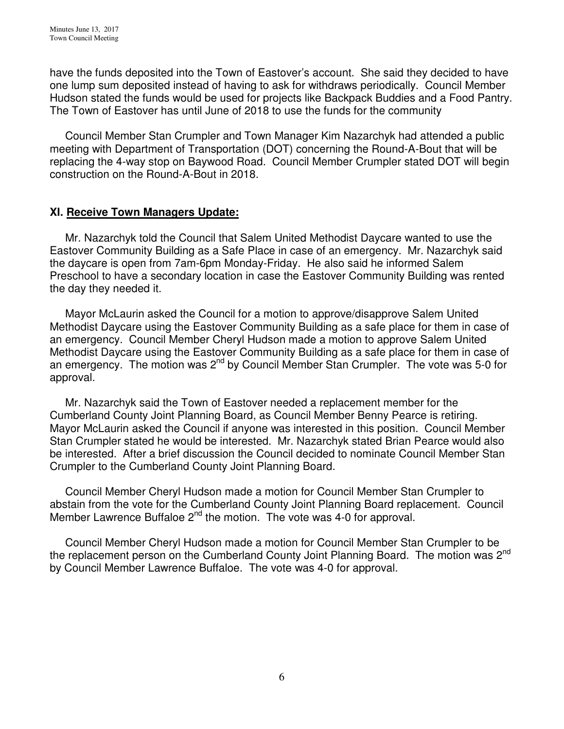have the funds deposited into the Town of Eastover's account. She said they decided to have one lump sum deposited instead of having to ask for withdraws periodically. Council Member Hudson stated the funds would be used for projects like Backpack Buddies and a Food Pantry. The Town of Eastover has until June of 2018 to use the funds for the community

 Council Member Stan Crumpler and Town Manager Kim Nazarchyk had attended a public meeting with Department of Transportation (DOT) concerning the Round-A-Bout that will be replacing the 4-way stop on Baywood Road. Council Member Crumpler stated DOT will begin construction on the Round-A-Bout in 2018.

## **XI. Receive Town Managers Update:**

 Mr. Nazarchyk told the Council that Salem United Methodist Daycare wanted to use the Eastover Community Building as a Safe Place in case of an emergency. Mr. Nazarchyk said the daycare is open from 7am-6pm Monday-Friday. He also said he informed Salem Preschool to have a secondary location in case the Eastover Community Building was rented the day they needed it.

 Mayor McLaurin asked the Council for a motion to approve/disapprove Salem United Methodist Daycare using the Eastover Community Building as a safe place for them in case of an emergency. Council Member Cheryl Hudson made a motion to approve Salem United Methodist Daycare using the Eastover Community Building as a safe place for them in case of an emergency. The motion was  $2^{nd}$  by Council Member Stan Crumpler. The vote was 5-0 for approval.

 Mr. Nazarchyk said the Town of Eastover needed a replacement member for the Cumberland County Joint Planning Board, as Council Member Benny Pearce is retiring. Mayor McLaurin asked the Council if anyone was interested in this position. Council Member Stan Crumpler stated he would be interested. Mr. Nazarchyk stated Brian Pearce would also be interested. After a brief discussion the Council decided to nominate Council Member Stan Crumpler to the Cumberland County Joint Planning Board.

 Council Member Cheryl Hudson made a motion for Council Member Stan Crumpler to abstain from the vote for the Cumberland County Joint Planning Board replacement. Council Member Lawrence Buffaloe  $2^{nd}$  the motion. The vote was 4-0 for approval.

 Council Member Cheryl Hudson made a motion for Council Member Stan Crumpler to be the replacement person on the Cumberland County Joint Planning Board. The motion was 2<sup>nd</sup> by Council Member Lawrence Buffaloe. The vote was 4-0 for approval.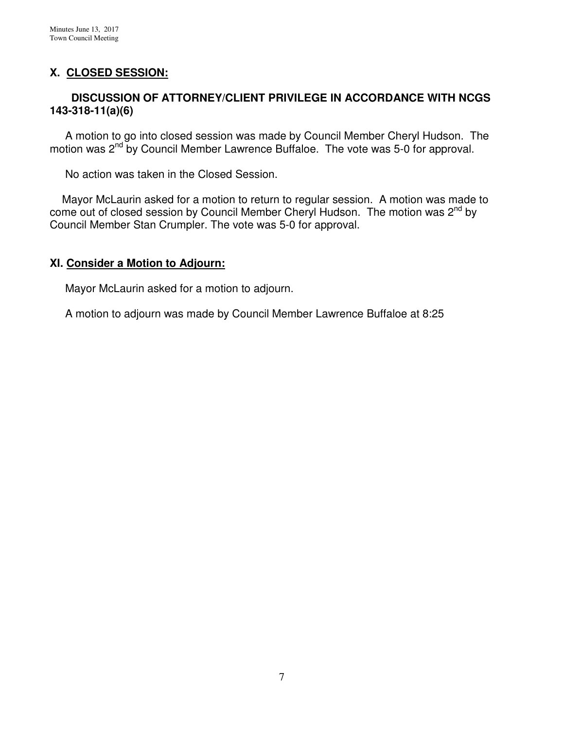# **X. CLOSED SESSION:**

### **DISCUSSION OF ATTORNEY/CLIENT PRIVILEGE IN ACCORDANCE WITH NCGS 143-318-11(a)(6)**

 A motion to go into closed session was made by Council Member Cheryl Hudson. The motion was 2<sup>nd</sup> by Council Member Lawrence Buffaloe. The vote was 5-0 for approval.

No action was taken in the Closed Session.

 Mayor McLaurin asked for a motion to return to regular session. A motion was made to come out of closed session by Council Member Cheryl Hudson. The motion was 2<sup>nd</sup> by Council Member Stan Crumpler. The vote was 5-0 for approval.

#### **XI. Consider a Motion to Adjourn:**

Mayor McLaurin asked for a motion to adjourn.

A motion to adjourn was made by Council Member Lawrence Buffaloe at 8:25